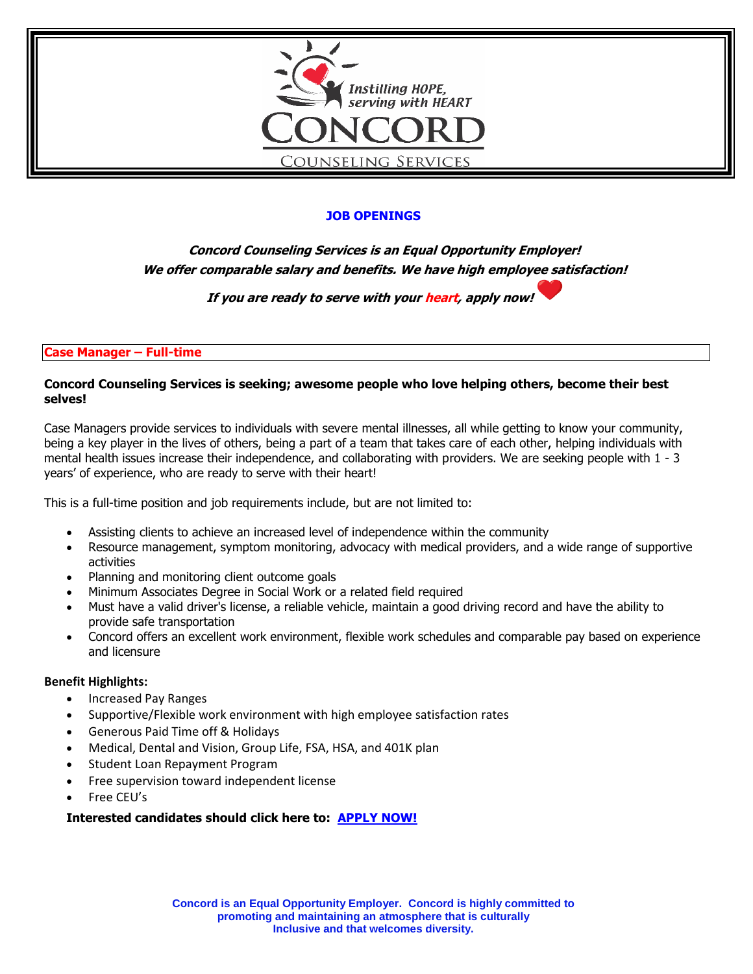

# **JOB OPENINGS**

**Concord Counseling Services is an Equal Opportunity Employer! We offer comparable salary and benefits. We have high employee satisfaction!**

**If you are ready to serve with your heart, apply now!** 

**Case Manager – Full-time** 

### **Concord Counseling Services is seeking; awesome people who love helping others, become their best selves!**

Case Managers provide services to individuals with severe mental illnesses, all while getting to know your community, being a key player in the lives of others, being a part of a team that takes care of each other, helping individuals with mental health issues increase their independence, and collaborating with providers. We are seeking people with 1 - 3 years' of experience, who are ready to serve with their heart!

This is a full-time position and job requirements include, but are not limited to:

- Assisting clients to achieve an increased level of independence within the community
- Resource management, symptom monitoring, advocacy with medical providers, and a wide range of supportive activities
- Planning and monitoring client outcome goals
- Minimum Associates Degree in Social Work or a related field required
- Must have a valid driver's license, a reliable vehicle, maintain a good driving record and have the ability to provide safe transportation
- Concord offers an excellent work environment, flexible work schedules and comparable pay based on experience and licensure

#### **Benefit Highlights:**

- Increased Pay Ranges
- Supportive/Flexible work environment with high employee satisfaction rates
- Generous Paid Time off & Holidays
- Medical, Dental and Vision, Group Life, FSA, HSA, and 401K plan
- Student Loan Repayment Program
- Free supervision toward independent license
- Free CEU's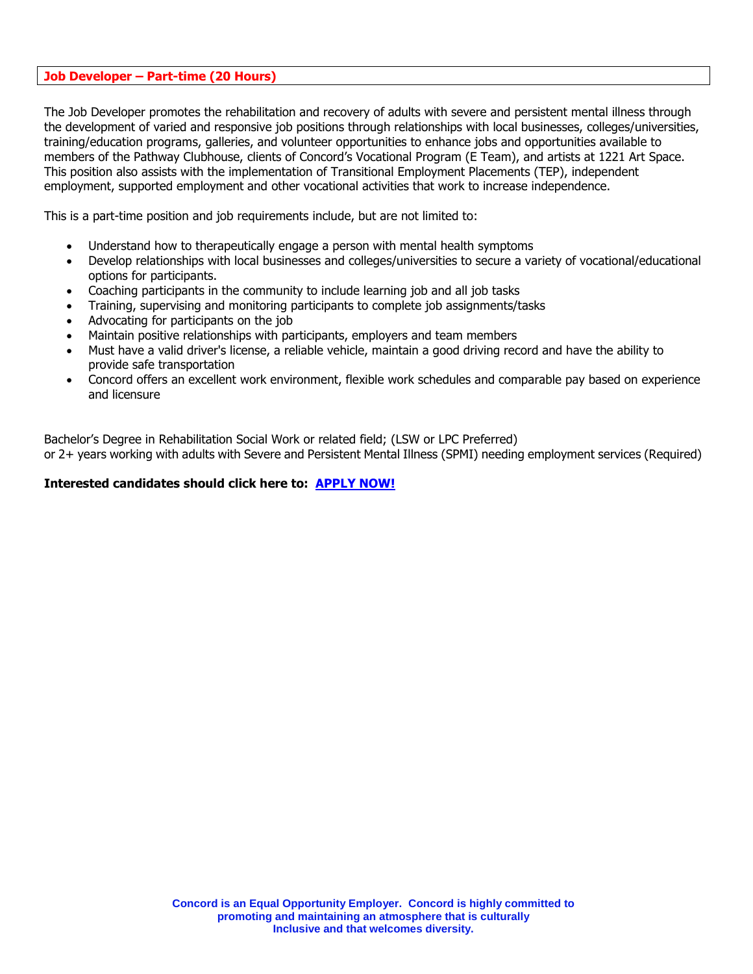#### **Job Developer – Part-time (20 Hours)**

The Job Developer promotes the rehabilitation and recovery of adults with severe and persistent mental illness through the development of varied and responsive job positions through relationships with local businesses, colleges/universities, training/education programs, galleries, and volunteer opportunities to enhance jobs and opportunities available to members of the Pathway Clubhouse, clients of Concord's Vocational Program (E Team), and artists at 1221 Art Space. This position also assists with the implementation of Transitional Employment Placements (TEP), independent employment, supported employment and other vocational activities that work to increase independence.

This is a part-time position and job requirements include, but are not limited to:

- Understand how to therapeutically engage a person with mental health symptoms
- Develop relationships with local businesses and colleges/universities to secure a variety of vocational/educational options for participants.
- Coaching participants in the community to include learning job and all job tasks
- Training, supervising and monitoring participants to complete job assignments/tasks
- Advocating for participants on the job
- Maintain positive relationships with participants, employers and team members
- Must have a valid driver's license, a reliable vehicle, maintain a good driving record and have the ability to provide safe transportation
- Concord offers an excellent work environment, flexible work schedules and comparable pay based on experience and licensure

Bachelor's Degree in Rehabilitation Social Work or related field; (LSW or LPC Preferred) or 2+ years working with adults with Severe and Persistent Mental Illness (SPMI) needing employment services (Required)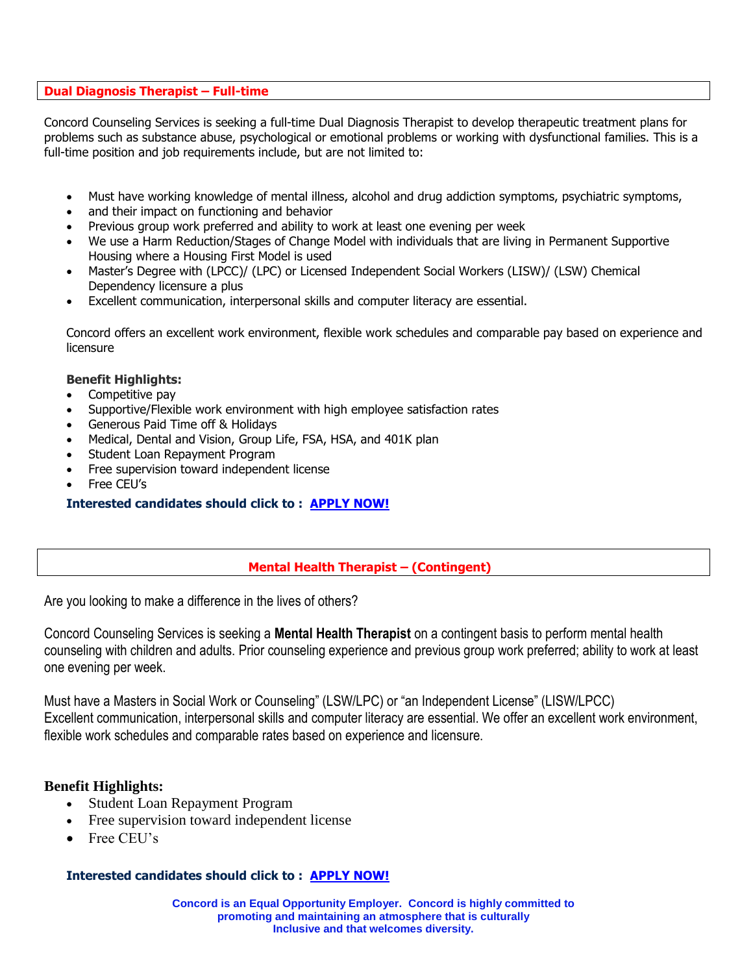# **Dual Diagnosis Therapist – Full-time**

Concord Counseling Services is seeking a full-time Dual Diagnosis Therapist to develop therapeutic treatment plans for problems such as substance abuse, psychological or emotional problems or working with dysfunctional families. This is a full-time position and job requirements include, but are not limited to:

- Must have working knowledge of mental illness, alcohol and drug addiction symptoms, psychiatric symptoms,
- and their impact on functioning and behavior
- Previous group work preferred and ability to work at least one evening per week
- We use a Harm Reduction/Stages of Change Model with individuals that are living in Permanent Supportive Housing where a Housing First Model is used
- Master's Degree with (LPCC)/ (LPC) or Licensed Independent Social Workers (LISW)/ (LSW) Chemical Dependency licensure a plus
- Excellent communication, interpersonal skills and computer literacy are essential.

Concord offers an excellent work environment, flexible work schedules and comparable pay based on experience and licensure

## **Benefit Highlights:**

- Competitive pay
- Supportive/Flexible work environment with high employee satisfaction rates
- Generous Paid Time off & Holidays
- Medical, Dental and Vision, Group Life, FSA, HSA, and 401K plan
- Student Loan Repayment Program
- Free supervision toward independent license
- Free CEU's

# **Interested candidates should click to : [APPLY NOW!](https://recruiting.paylocity.com/recruiting/jobs/All/5b3bff7d-10cd-4437-bebc-925beda87e04/Concord-Counseling-Services)**

## **Mental Health Therapist – (Contingent)**

Are you looking to make a difference in the lives of others?

Concord Counseling Services is seeking a **Mental Health Therapist** on a contingent basis to perform mental health counseling with children and adults. Prior counseling experience and previous group work preferred; ability to work at least one evening per week.

Must have a Masters in Social Work or Counseling" (LSW/LPC) or "an Independent License" (LISW/LPCC) Excellent communication, interpersonal skills and computer literacy are essential. We offer an excellent work environment, flexible work schedules and comparable rates based on experience and licensure.

# **Benefit Highlights:**

- Student Loan Repayment Program
- Free supervision toward independent license
- Free CEU's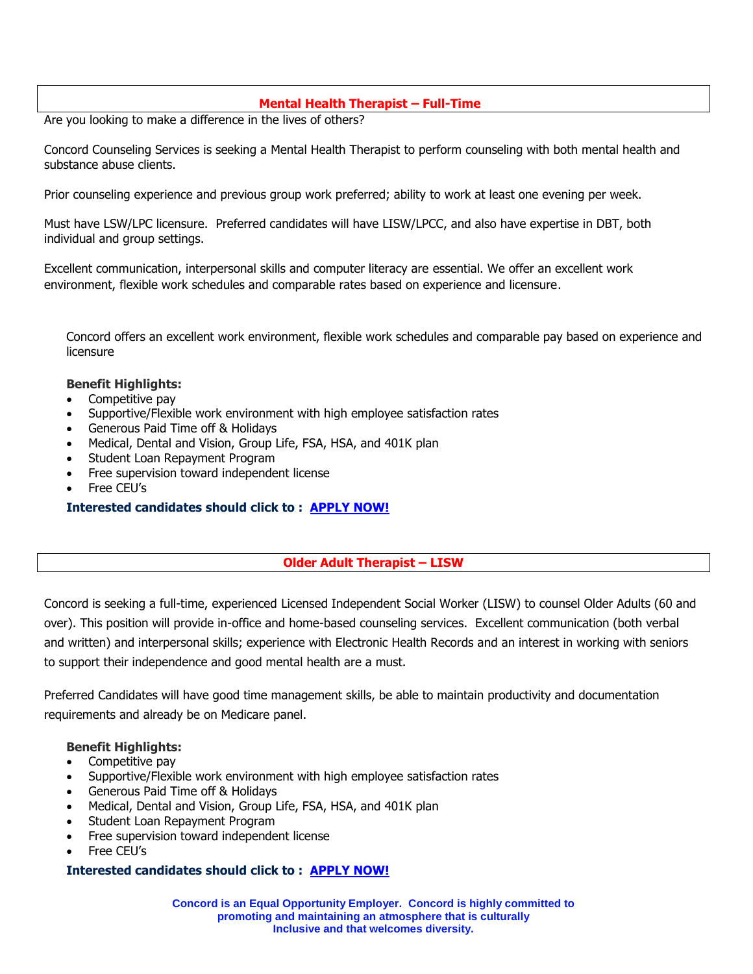# **Mental Health Therapist – Full-Time**

Are you looking to make a difference in the lives of others?

Concord Counseling Services is seeking a Mental Health Therapist to perform counseling with both mental health and substance abuse clients.

Prior counseling experience and previous group work preferred; ability to work at least one evening per week.

Must have LSW/LPC licensure. Preferred candidates will have LISW/LPCC, and also have expertise in DBT, both individual and group settings.

Excellent communication, interpersonal skills and computer literacy are essential. We offer an excellent work environment, flexible work schedules and comparable rates based on experience and licensure.

Concord offers an excellent work environment, flexible work schedules and comparable pay based on experience and licensure

#### **Benefit Highlights:**

- Competitive pay
- Supportive/Flexible work environment with high employee satisfaction rates
- Generous Paid Time off & Holidays
- Medical, Dental and Vision, Group Life, FSA, HSA, and 401K plan
- Student Loan Repayment Program
- Free supervision toward independent license
- Free CEU's

## **Interested candidates should click to : [APPLY NOW!](https://recruiting.paylocity.com/recruiting/jobs/All/5b3bff7d-10cd-4437-bebc-925beda87e04/Concord-Counseling-Services)**

## **Older Adult Therapist – LISW**

Concord is seeking a full-time, experienced Licensed Independent Social Worker (LISW) to counsel Older Adults (60 and over). This position will provide in-office and home-based counseling services. Excellent communication (both verbal and written) and interpersonal skills; experience with Electronic Health Records and an interest in working with seniors to support their independence and good mental health are a must.

Preferred Candidates will have good time management skills, be able to maintain productivity and documentation requirements and already be on Medicare panel.

#### **Benefit Highlights:**

- Competitive pay
- Supportive/Flexible work environment with high employee satisfaction rates
- Generous Paid Time off & Holidays
- Medical, Dental and Vision, Group Life, FSA, HSA, and 401K plan
- Student Loan Repayment Program
- Free supervision toward independent license
- Free CEU's

## **Interested candidates should click to : [APPLY NOW!](https://recruiting.paylocity.com/recruiting/jobs/All/5b3bff7d-10cd-4437-bebc-925beda87e04/Concord-Counseling-Services)**

**Concord is an Equal Opportunity Employer. Concord is highly committed to promoting and maintaining an atmosphere that is culturally Inclusive and that welcomes diversity.**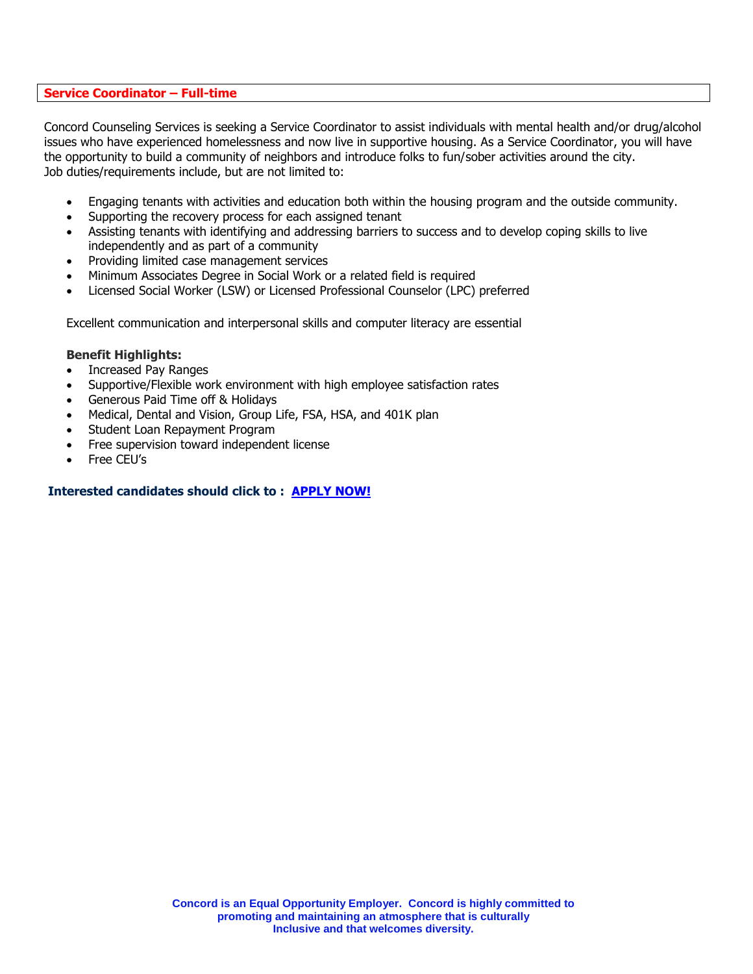#### **Service Coordinator – Full-time**

Concord Counseling Services is seeking a Service Coordinator to assist individuals with mental health and/or drug/alcohol issues who have experienced homelessness and now live in supportive housing. As a Service Coordinator, you will have the opportunity to build a community of neighbors and introduce folks to fun/sober activities around the city. Job duties/requirements include, but are not limited to:

- Engaging tenants with activities and education both within the housing program and the outside community.
- Supporting the recovery process for each assigned tenant
- Assisting tenants with identifying and addressing barriers to success and to develop coping skills to live independently and as part of a community
- Providing limited case management services
- Minimum Associates Degree in Social Work or a related field is required
- Licensed Social Worker (LSW) or Licensed Professional Counselor (LPC) preferred

Excellent communication and interpersonal skills and computer literacy are essential

#### **Benefit Highlights:**

- Increased Pay Ranges
- Supportive/Flexible work environment with high employee satisfaction rates
- Generous Paid Time off & Holidays
- Medical, Dental and Vision, Group Life, FSA, HSA, and 401K plan
- Student Loan Repayment Program
- Free supervision toward independent license
- Free CEU's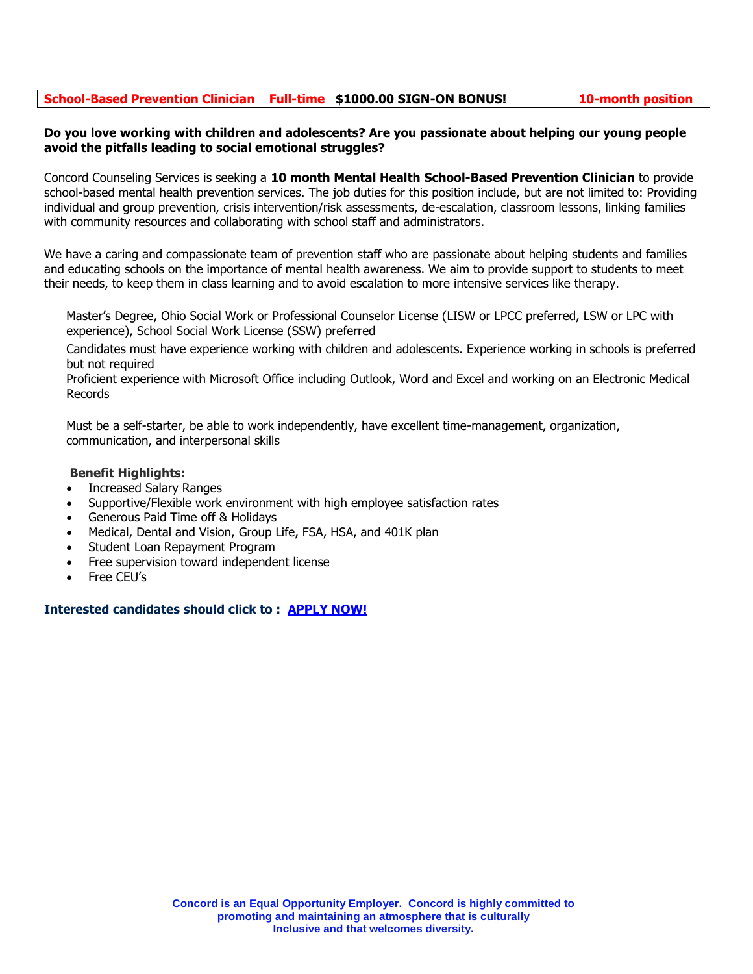# **School-Based Prevention Clinician Full-time \$1000.00 SIGN-ON BONUS! 10-month position**

### **Do you love working with children and adolescents? Are you passionate about helping our young people avoid the pitfalls leading to social emotional struggles?**

Concord Counseling Services is seeking a **10 month Mental Health School-Based Prevention Clinician** to provide school-based mental health prevention services. The job duties for this position include, but are not limited to: Providing individual and group prevention, crisis intervention/risk assessments, de-escalation, classroom lessons, linking families with community resources and collaborating with school staff and administrators.

We have a caring and compassionate team of prevention staff who are passionate about helping students and families and educating schools on the importance of mental health awareness. We aim to provide support to students to meet their needs, to keep them in class learning and to avoid escalation to more intensive services like therapy.

Master's Degree, Ohio Social Work or Professional Counselor License (LISW or LPCC preferred, LSW or LPC with experience), School Social Work License (SSW) preferred

Candidates must have experience working with children and adolescents. Experience working in schools is preferred but not required

Proficient experience with Microsoft Office including Outlook, Word and Excel and working on an Electronic Medical Records

Must be a self-starter, be able to work independently, have excellent time-management, organization, communication, and interpersonal skills

## **Benefit Highlights:**

- Increased Salary Ranges
- Supportive/Flexible work environment with high employee satisfaction rates
- Generous Paid Time off & Holidays
- Medical, Dental and Vision, Group Life, FSA, HSA, and 401K plan
- Student Loan Repayment Program
- Free supervision toward independent license
- Free CEU's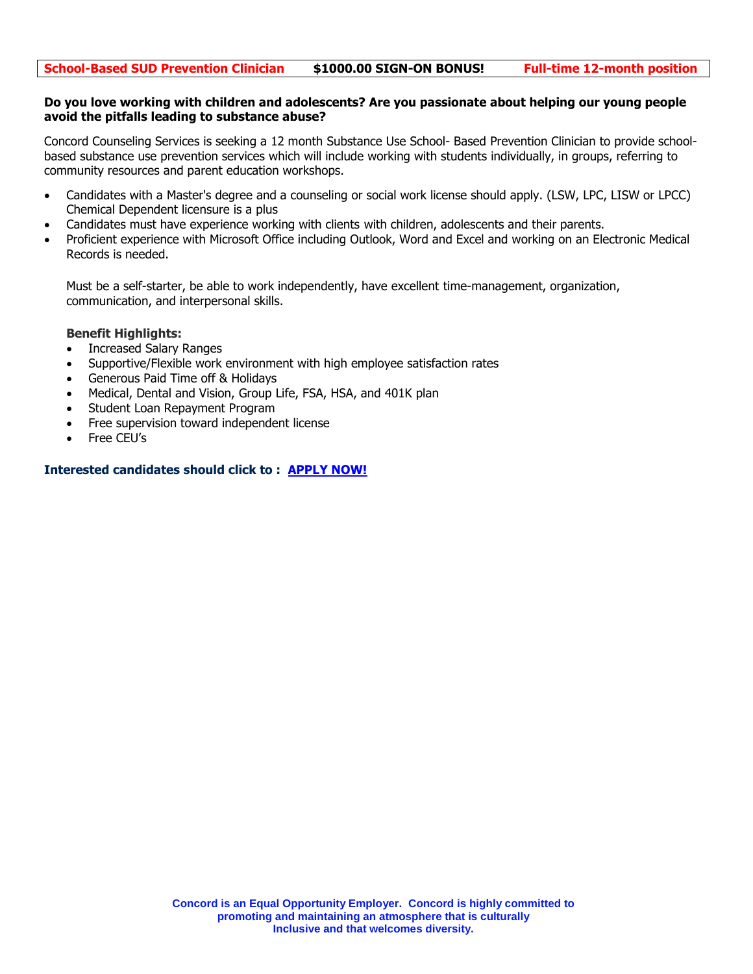#### **Do you love working with children and adolescents? Are you passionate about helping our young people avoid the pitfalls leading to substance abuse?**

Concord Counseling Services is seeking a 12 month Substance Use School- Based Prevention Clinician to provide schoolbased substance use prevention services which will include working with students individually, in groups, referring to community resources and parent education workshops.

- Candidates with a Master's degree and a counseling or social work license should apply. (LSW, LPC, LISW or LPCC) Chemical Dependent licensure is a plus
- Candidates must have experience working with clients with children, adolescents and their parents.
- Proficient experience with Microsoft Office including Outlook, Word and Excel and working on an Electronic Medical Records is needed.

Must be a self-starter, be able to work independently, have excellent time-management, organization, communication, and interpersonal skills.

#### **Benefit Highlights:**

- Increased Salary Ranges
- Supportive/Flexible work environment with high employee satisfaction rates
- Generous Paid Time off & Holidays
- Medical, Dental and Vision, Group Life, FSA, HSA, and 401K plan
- Student Loan Repayment Program
- Free supervision toward independent license
- Free CEU's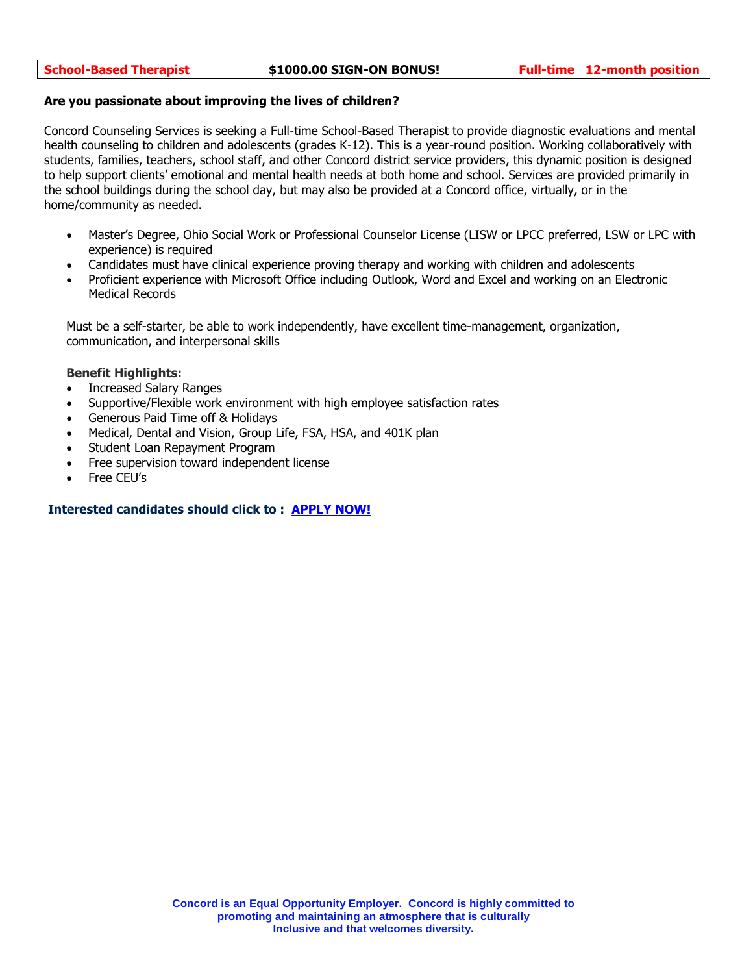#### **Are you passionate about improving the lives of children?**

Concord Counseling Services is seeking a Full-time School-Based Therapist to provide diagnostic evaluations and mental health counseling to children and adolescents (grades K-12). This is a year-round position. Working collaboratively with students, families, teachers, school staff, and other Concord district service providers, this dynamic position is designed to help support clients' emotional and mental health needs at both home and school. Services are provided primarily in the school buildings during the school day, but may also be provided at a Concord office, virtually, or in the home/community as needed.

- Master's Degree, Ohio Social Work or Professional Counselor License (LISW or LPCC preferred, LSW or LPC with experience) is required
- Candidates must have clinical experience proving therapy and working with children and adolescents
- Proficient experience with Microsoft Office including Outlook, Word and Excel and working on an Electronic Medical Records

Must be a self-starter, be able to work independently, have excellent time-management, organization, communication, and interpersonal skills

#### **Benefit Highlights:**

- Increased Salary Ranges
- Supportive/Flexible work environment with high employee satisfaction rates
- Generous Paid Time off & Holidays
- Medical, Dental and Vision, Group Life, FSA, HSA, and 401K plan
- Student Loan Repayment Program
- Free supervision toward independent license
- Free CEU's